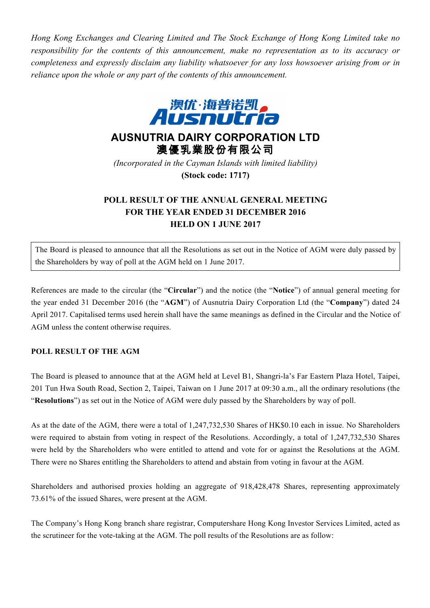*Hong Kong Exchanges and Clearing Limited and The Stock Exchange of Hong Kong Limited take no responsibility for the contents of this announcement, make no representation as to its accuracy or completeness and expressly disclaim any liability whatsoever for any loss howsoever arising from or in reliance upon the whole or any part of the contents of this announcement.*



## **AUSNUTRIA DAIRY CORPORATION LTD** 澳優乳業股份有限公司

*(Incorporated in the Cayman Islands with limited liability)* **(Stock code: 1717)**

## **POLL RESULT OF THE ANNUAL GENERAL MEETING FOR THE YEAR ENDED 31 DECEMBER 2016 HELD ON 1 JUNE 2017**

The Board is pleased to announce that all the Resolutions as set out in the Notice of AGM were duly passed by the Shareholders by way of poll at the AGM held on 1 June 2017.

References are made to the circular (the "**Circular**") and the notice (the "**Notice**") of annual general meeting for the year ended 31 December 2016 (the "**AGM**") of Ausnutria Dairy Corporation Ltd (the "**Company**") dated 24 April 2017. Capitalised terms used herein shall have the same meanings as defined in the Circular and the Notice of AGM unless the content otherwise requires.

## **POLL RESULT OF THE AGM**

The Board is pleased to announce that at the AGM held at Level B1, Shangri-la's Far Eastern Plaza Hotel, Taipei, 201 Tun Hwa South Road, Section 2, Taipei, Taiwan on 1 June 2017 at 09:30 a.m., all the ordinary resolutions (the "**Resolutions**") as set out in the Notice of AGM were duly passed by the Shareholders by way of poll.

As at the date of the AGM, there were a total of 1,247,732,530 Shares of HK\$0.10 each in issue. No Shareholders were required to abstain from voting in respect of the Resolutions. Accordingly, a total of 1,247,732,530 Shares were held by the Shareholders who were entitled to attend and vote for or against the Resolutions at the AGM. There were no Shares entitling the Shareholders to attend and abstain from voting in favour at the AGM.

Shareholders and authorised proxies holding an aggregate of 918,428,478 Shares, representing approximately 73.61% of the issued Shares, were present at the AGM.

The Company's Hong Kong branch share registrar, Computershare Hong Kong Investor Services Limited, acted as the scrutineer for the vote-taking at the AGM. The poll results of the Resolutions are as follow: